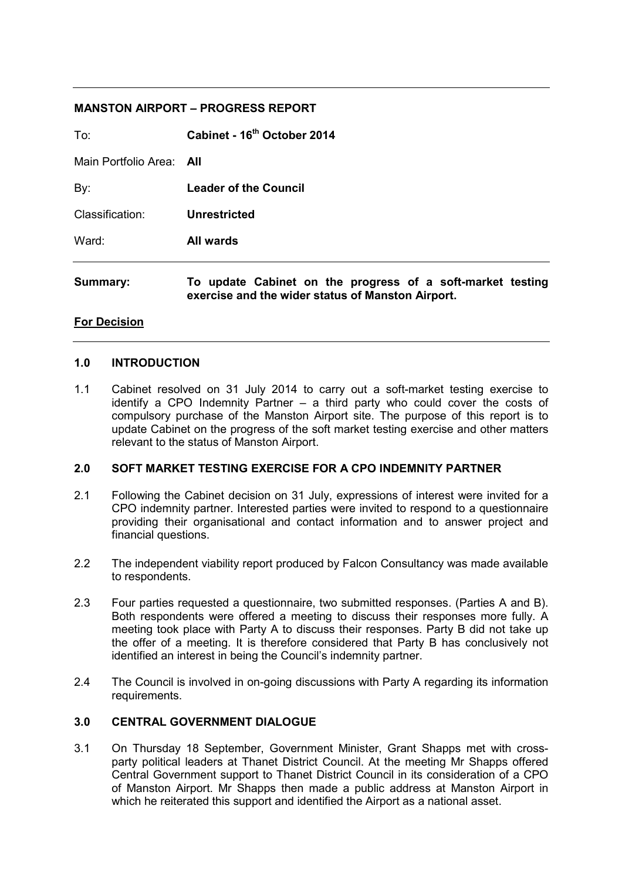#### **MANSTON AIRPORT – PROGRESS REPORT**

| Summary:                 | To update Cabinet on the progress of a soft-market testing<br>exercise and the wider status of Manston Airport. |
|--------------------------|-----------------------------------------------------------------------------------------------------------------|
| Ward:                    | <b>All wards</b>                                                                                                |
| Classification:          | <b>Unrestricted</b>                                                                                             |
| By:                      | <b>Leader of the Council</b>                                                                                    |
| Main Portfolio Area: All |                                                                                                                 |
| To:                      | Cabinet - 16 <sup>th</sup> October 2014                                                                         |

#### **For Decision**

#### **1.0 INTRODUCTION**

1.1 Cabinet resolved on 31 July 2014 to carry out a soft-market testing exercise to identify a CPO Indemnity Partner – a third party who could cover the costs of compulsory purchase of the Manston Airport site. The purpose of this report is to update Cabinet on the progress of the soft market testing exercise and other matters relevant to the status of Manston Airport.

### **2.0 SOFT MARKET TESTING EXERCISE FOR A CPO INDEMNITY PARTNER**

- 2.1 Following the Cabinet decision on 31 July, expressions of interest were invited for a CPO indemnity partner. Interested parties were invited to respond to a questionnaire providing their organisational and contact information and to answer project and financial questions.
- 2.2 The independent viability report produced by Falcon Consultancy was made available to respondents.
- 2.3 Four parties requested a questionnaire, two submitted responses. (Parties A and B). Both respondents were offered a meeting to discuss their responses more fully. A meeting took place with Party A to discuss their responses. Party B did not take up the offer of a meeting. It is therefore considered that Party B has conclusively not identified an interest in being the Council's indemnity partner.
- 2.4 The Council is involved in on-going discussions with Party A regarding its information requirements.

### **3.0 CENTRAL GOVERNMENT DIALOGUE**

3.1 On Thursday 18 September, Government Minister, Grant Shapps met with crossparty political leaders at Thanet District Council. At the meeting Mr Shapps offered Central Government support to Thanet District Council in its consideration of a CPO of Manston Airport. Mr Shapps then made a public address at Manston Airport in which he reiterated this support and identified the Airport as a national asset.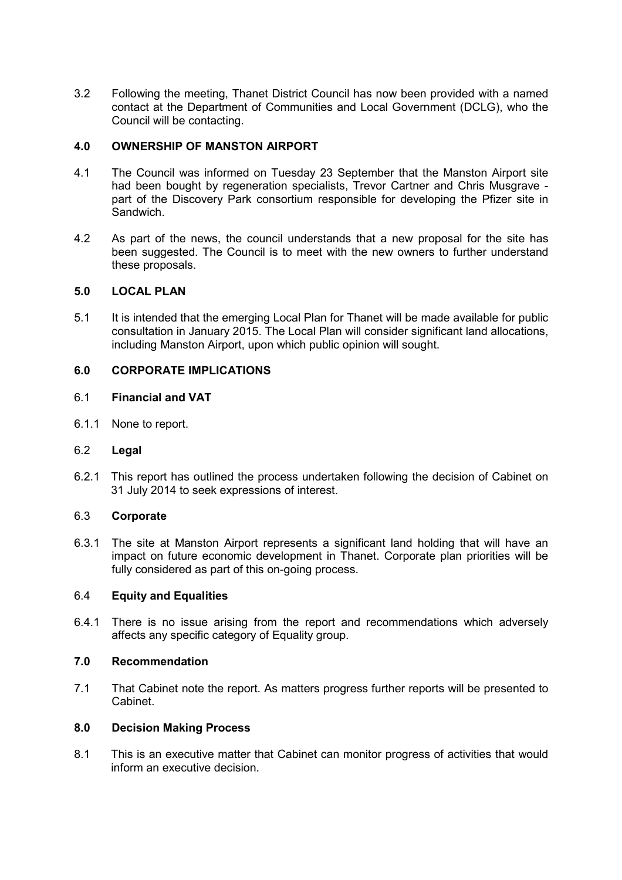3.2 Following the meeting, Thanet District Council has now been provided with a named contact at the Department of Communities and Local Government (DCLG), who the Council will be contacting.

# **4.0 OWNERSHIP OF MANSTON AIRPORT**

- 4.1 The Council was informed on Tuesday 23 September that the Manston Airport site had been bought by regeneration specialists, Trevor Cartner and Chris Musgrave part of the Discovery Park consortium responsible for developing the Pfizer site in Sandwich.
- 4.2 As part of the news, the council understands that a new proposal for the site has been suggested. The Council is to meet with the new owners to further understand these proposals.

# **5.0 LOCAL PLAN**

5.1 It is intended that the emerging Local Plan for Thanet will be made available for public consultation in January 2015. The Local Plan will consider significant land allocations, including Manston Airport, upon which public opinion will sought.

# **6.0 CORPORATE IMPLICATIONS**

### 6.1 **Financial and VAT**

6.1.1 None to report.

### 6.2 **Legal**

6.2.1 This report has outlined the process undertaken following the decision of Cabinet on 31 July 2014 to seek expressions of interest.

### 6.3 **Corporate**

6.3.1 The site at Manston Airport represents a significant land holding that will have an impact on future economic development in Thanet. Corporate plan priorities will be fully considered as part of this on-going process.

### 6.4 **Equity and Equalities**

6.4.1 There is no issue arising from the report and recommendations which adversely affects any specific category of Equality group.

## **7.0 Recommendation**

7.1 That Cabinet note the report. As matters progress further reports will be presented to Cabinet.

### **8.0 Decision Making Process**

8.1 This is an executive matter that Cabinet can monitor progress of activities that would inform an executive decision.